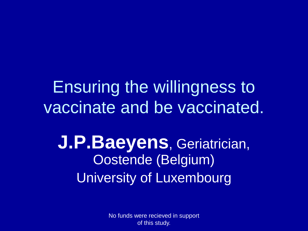#### Ensuring the willingness to vaccinate and be vaccinated.

**J.P.Baeyens**, Geriatrician, Oostende (Belgium) University of Luxembourg

> No funds were recieved in support of this study.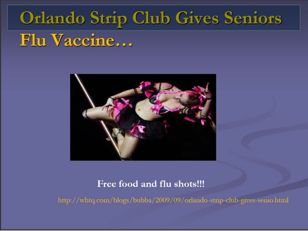# **Orlando Strip Club Gives Seniors** Flu Vaccine...



#### Free food and flu shots!!!

http://whtq.com/blogs/bubba/2009/09/orlando-strip-club-gives-senio.html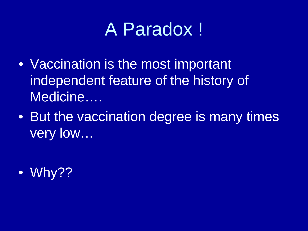# A Paradox !

- Vaccination is the most important independent feature of the history of Medicine….
- But the vaccination degree is many times very low...

• Why??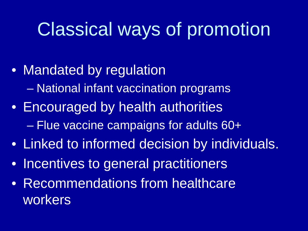## Classical ways of promotion

- Mandated by regulation – National infant vaccination programs
- Encouraged by health authorities – Flue vaccine campaigns for adults 60+
- Linked to informed decision by individuals.
- Incentives to general practitioners
- Recommendations from healthcare workers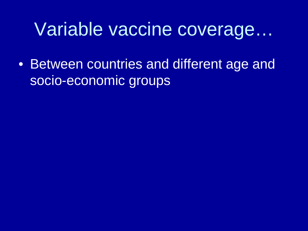#### Variable vaccine coverage…

• Between countries and different age and socio-economic groups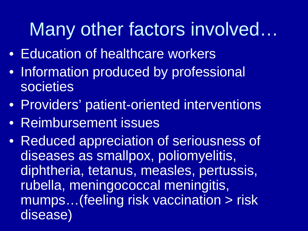# Many other factors involved…

- Education of healthcare workers
- Information produced by professional societies
- Providers' patient-oriented interventions
- Reimbursement issues
- Reduced appreciation of seriousness of diseases as smallpox, poliomyelitis, diphtheria, tetanus, measles, pertussis, rubella, meningococcal meningitis, mumps…(feeling risk vaccination > risk disease)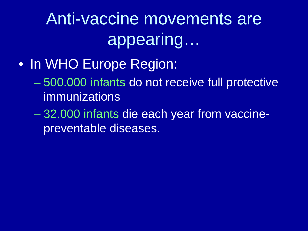Anti-vaccine movements are appearing…

- In WHO Europe Region:
	- 500.000 infants do not receive full protective immunizations
	- 32.000 infants die each year from vaccinepreventable diseases.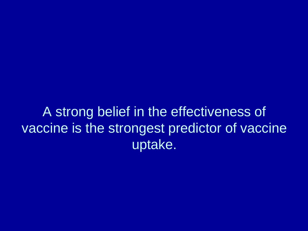A strong belief in the effectiveness of vaccine is the strongest predictor of vaccine uptake.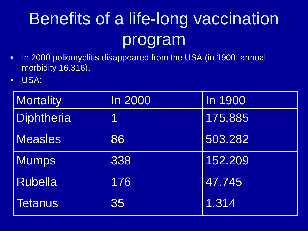# Benefits of a life-long vaccination program

- In 2000 poliomyelitis disappeared from the USA (in 1900: annual morbidity 16.316).
- USA:

| <b>Mortality</b> | <b>In 2000</b> | In 1900 |
|------------------|----------------|---------|
| Diphtheria       | 1              | 175.885 |
| <b>Measles</b>   | 86             | 503.282 |
| <b>Mumps</b>     | 338            | 152.209 |
| <b>Rubella</b>   | 176            | 47.745  |
| <b>Tetanus</b>   | 35             | 1.314   |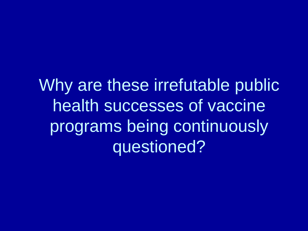Why are these irrefutable public health successes of vaccine programs being continuously questioned?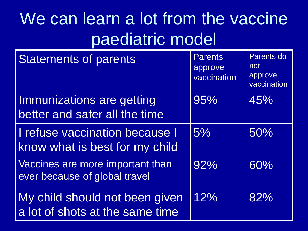#### We can learn a lot from the vaccine paediatric model

| <b>Statements of parents</b>                                      | <b>Parents</b><br>approve<br>vaccination | Parents do<br>not<br>approve<br>vaccination |
|-------------------------------------------------------------------|------------------------------------------|---------------------------------------------|
| Immunizations are getting<br>better and safer all the time        | 95%                                      | 45%                                         |
| I refuse vaccination because I<br>know what is best for my child  | 5%                                       | 50%                                         |
| Vaccines are more important than<br>ever because of global travel | 92%                                      | 60%                                         |
| My child should not been given<br>a lot of shots at the same time | 12%                                      | 82%                                         |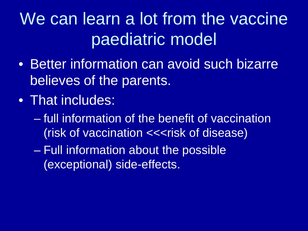### We can learn a lot from the vaccine paediatric model

- Better information can avoid such bizarre believes of the parents.
- That includes:
	- full information of the benefit of vaccination (risk of vaccination <<<risk of disease)
	- Full information about the possible (exceptional) side-effects.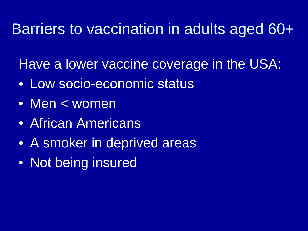#### Barriers to vaccination in adults aged 60+

Have a lower vaccine coverage in the USA:

- Low socio-economic status
- Men < women
- African Americans
- A smoker in deprived areas
- Not being insured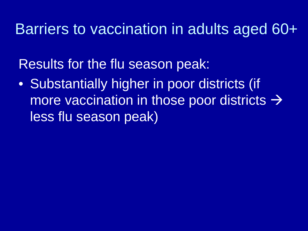#### Barriers to vaccination in adults aged 60+

Results for the flu season peak:

• Substantially higher in poor districts (if more vaccination in those poor districts  $\rightarrow$ less flu season peak)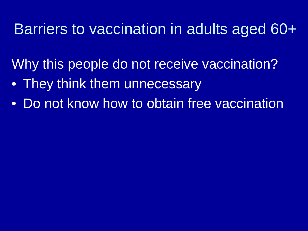#### Barriers to vaccination in adults aged 60+

Why this people do not receive vaccination?

- They think them unnecessary
- Do not know how to obtain free vaccination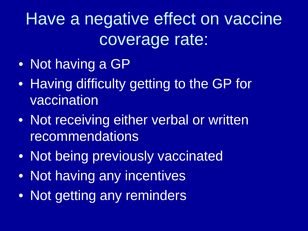# Have a negative effect on vaccine coverage rate:

- Not having a GP
- Having difficulty getting to the GP for vaccination
- Not receiving either verbal or written recommendations
- Not being previously vaccinated
- Not having any incentives
- Not getting any reminders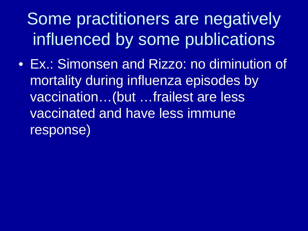Some practitioners are negatively influenced by some publications

• Ex.: Simonsen and Rizzo: no diminution of mortality during influenza episodes by vaccination…(but …frailest are less vaccinated and have less immune response)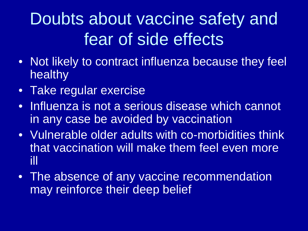### Doubts about vaccine safety and fear of side effects

- Not likely to contract influenza because they feel healthy
- Take regular exercise
- Influenza is not a serious disease which cannot in any case be avoided by vaccination
- Vulnerable older adults with co-morbidities think that vaccination will make them feel even more ill
- The absence of any vaccine recommendation may reinforce their deep belief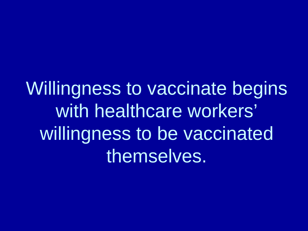Willingness to vaccinate begins with healthcare workers' willingness to be vaccinated themselves.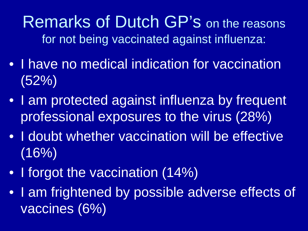Remarks of Dutch GP's on the reasons for not being vaccinated against influenza:

- I have no medical indication for vaccination (52%)
- I am protected against influenza by frequent professional exposures to the virus (28%)
- I doubt whether vaccination will be effective  $(16%)$
- I forgot the vaccination (14%)
- I am frightened by possible adverse effects of vaccines (6%)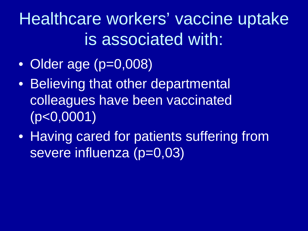Healthcare workers' vaccine uptake is associated with:

- Older age (p=0,008)
- Believing that other departmental colleagues have been vaccinated (p<0,0001)
- Having cared for patients suffering from severe influenza (p=0,03)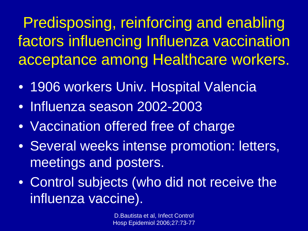Predisposing, reinforcing and enabling factors influencing Influenza vaccination acceptance among Healthcare workers.

- 1906 workers Univ. Hospital Valencia
- Influenza season 2002-2003
- Vaccination offered free of charge
- Several weeks intense promotion: letters, meetings and posters.
- Control subjects (who did not receive the influenza vaccine).

D.Bautista et al, Infect Control Hosp Epidemiol 2006;27:73-77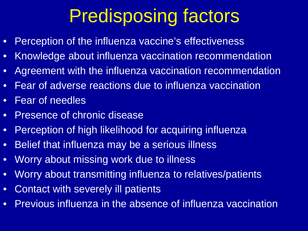# Predisposing factors

- Perception of the influenza vaccine's effectiveness
- Knowledge about influenza vaccination recommendation
- Agreement with the influenza vaccination recommendation
- Fear of adverse reactions due to influenza vaccination
- Fear of needles
- Presence of chronic disease
- Perception of high likelihood for acquiring influenza
- Belief that influenza may be a serious illness
- Worry about missing work due to illness
- Worry about transmitting influenza to relatives/patients
- Contact with severely ill patients
- Previous influenza in the absence of influenza vaccination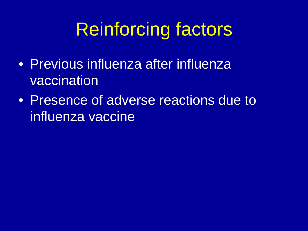# Reinforcing factors

- Previous influenza after influenza vaccination
- Presence of adverse reactions due to influenza vaccine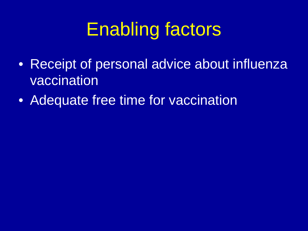# Enabling factors

- Receipt of personal advice about influenza vaccination
- Adequate free time for vaccination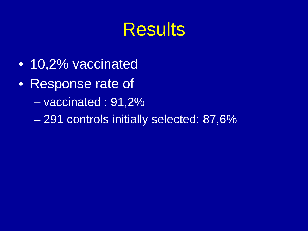# **Results**

- 10,2% vaccinated
- Response rate of
	- vaccinated : 91,2%
	- 291 controls initially selected: 87,6%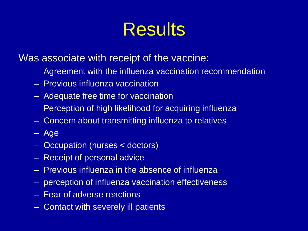# **Results**

Was associate with receipt of the vaccine:

- Agreement with the influenza vaccination recommendation
- Previous influenza vaccination
- Adequate free time for vaccination
- Perception of high likelihood for acquiring influenza
- Concern about transmitting influenza to relatives
- Age
- Occupation (nurses < doctors)
- Receipt of personal advice
- Previous influenza in the absence of influenza
- perception of influenza vaccination effectiveness
- Fear of adverse reactions
- Contact with severely ill patients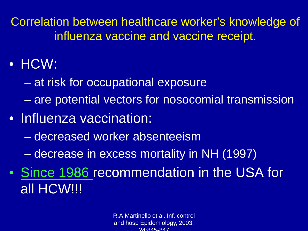Correlation between healthcare worker's knowledge of influenza vaccine and vaccine receipt.

- HCW:
	- at risk for occupational exposure
	- are potential vectors for nosocomial transmission
- Influenza vaccination:
	- decreased worker absenteeism
	- decrease in excess mortality in NH (1997)
- Since 1986 recommendation in the USA for all HCW!!!

R.A.Martinello et al. Inf. control and hosp Epidemiology, 2003, 24:845-847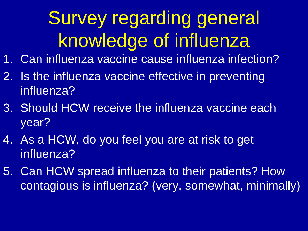# Survey regarding general knowledge of influenza

- 1. Can influenza vaccine cause influenza infection?
- 2. Is the influenza vaccine effective in preventing influenza?
- 3. Should HCW receive the influenza vaccine each year?
- 4. As a HCW, do you feel you are at risk to get influenza?
- 5. Can HCW spread influenza to their patients? How contagious is influenza? (very, somewhat, minimally)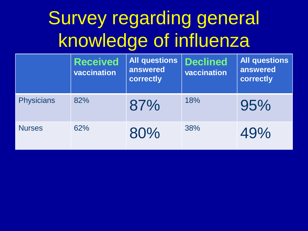# Survey regarding general knowledge of influenza

|                   | <b>Received</b><br>vaccination | <b>All questions</b><br>answered<br>correctly | <b>Declined</b><br>vaccination | <b>All questions</b><br>answered<br>correctly |
|-------------------|--------------------------------|-----------------------------------------------|--------------------------------|-----------------------------------------------|
| <b>Physicians</b> | 82%                            | 87%                                           | 18%                            | 95%                                           |
| <b>Nurses</b>     | 62%                            | 80%                                           | 38%                            | 49%                                           |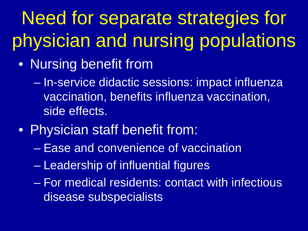# Need for separate strategies for physician and nursing populations

- Nursing benefit from
	- In-service didactic sessions: impact influenza vaccination, benefits influenza vaccination, side effects.
- Physician staff benefit from:
	- Ease and convenience of vaccination
	- Leadership of influential figures
	- For medical residents: contact with infectious disease subspecialists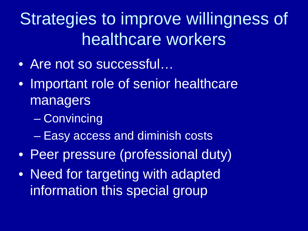### Strategies to improve willingness of healthcare workers

- Are not so successful…
- Important role of senior healthcare managers
	- Convincing
	- Easy access and diminish costs
- Peer pressure (professional duty)
- Need for targeting with adapted information this special group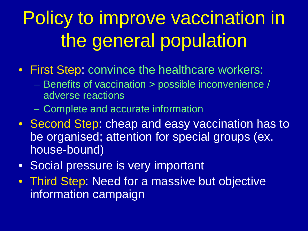# Policy to improve vaccination in the general population

- First Step: convince the healthcare workers:
	- Benefits of vaccination > possible inconvenience / adverse reactions
	- Complete and accurate information
- Second Step: cheap and easy vaccination has to be organised; attention for special groups (ex. house-bound)
- Social pressure is very important
- Third Step: Need for a massive but objective information campaign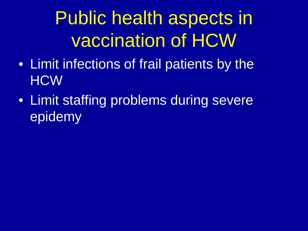# Public health aspects in vaccination of HCW

- Limit infections of frail patients by the **HCW**
- Limit staffing problems during severe epidemy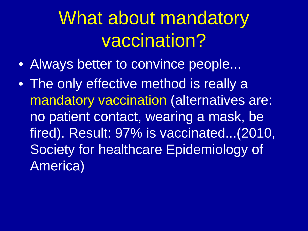# What about mandatory vaccination?

- Always better to convince people...
- The only effective method is really a mandatory vaccination (alternatives are: no patient contact, wearing a mask, be fired). Result: 97% is vaccinated...(2010, Society for healthcare Epidemiology of America)